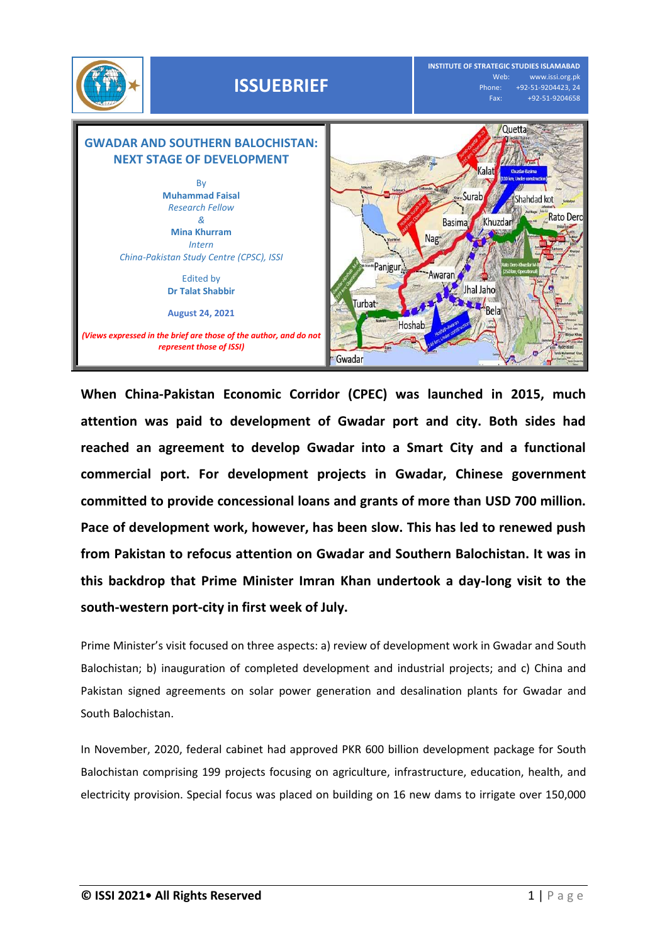

**When China-Pakistan Economic Corridor (CPEC) was launched in 2015, much attention was paid to development of Gwadar port and city. Both sides had reached an agreement to develop Gwadar into a Smart City and a functional commercial port. For development projects in Gwadar, Chinese government committed to provide concessional loans and grants of more than USD 700 million. Pace of development work, however, has been slow. This has led to renewed push from Pakistan to refocus attention on Gwadar and Southern Balochistan. It was in this backdrop that Prime Minister Imran Khan undertook a day-long visit to the south-western port-city in first week of July.**

Prime Minister's visit focused on three aspects: a) review of development work in Gwadar and South Balochistan; b) inauguration of completed development and industrial projects; and c) China and Pakistan signed agreements on solar power generation and desalination plants for Gwadar and South Balochistan.

In November, 2020, federal cabinet had approved PKR 600 billion development package for South Balochistan comprising 199 projects focusing on agriculture, infrastructure, education, health, and electricity provision. Special focus was placed on building on 16 new dams to irrigate over 150,000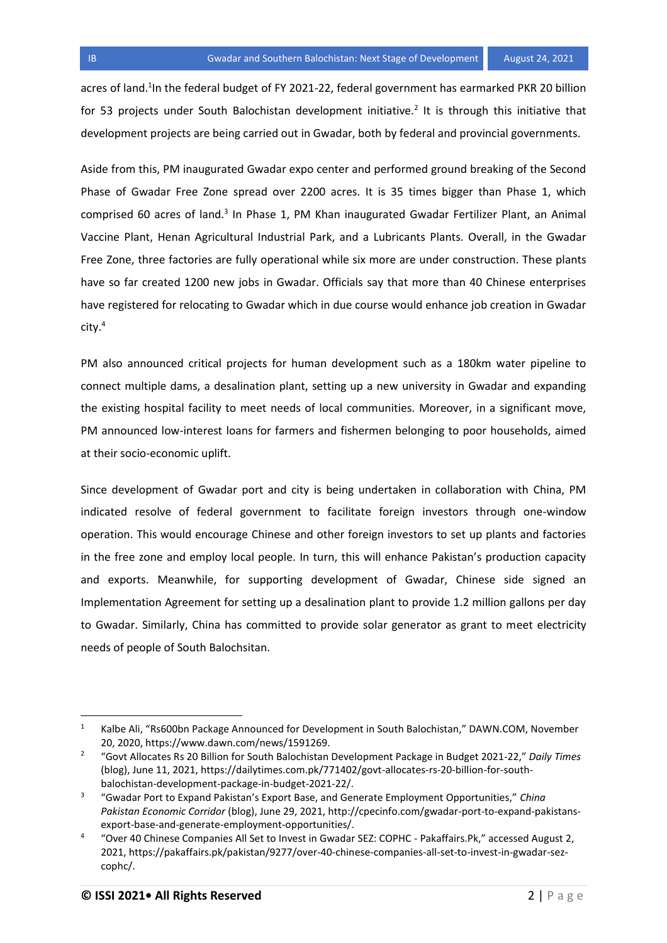acres of land.<sup>1</sup>In the federal budget of FY 2021-22, federal government has earmarked PKR 20 billion for 53 projects under South Balochistan development initiative.<sup>2</sup> It is through this initiative that development projects are being carried out in Gwadar, both by federal and provincial governments.

Aside from this, PM inaugurated Gwadar expo center and performed ground breaking of the Second Phase of Gwadar Free Zone spread over 2200 acres. It is 35 times bigger than Phase 1, which comprised 60 acres of land.<sup>3</sup> In Phase 1, PM Khan inaugurated Gwadar Fertilizer Plant, an Animal Vaccine Plant, Henan Agricultural Industrial Park, and a Lubricants Plants. Overall, in the Gwadar Free Zone, three factories are fully operational while six more are under construction. These plants have so far created 1200 new jobs in Gwadar. Officials say that more than 40 Chinese enterprises have registered for relocating to Gwadar which in due course would enhance job creation in Gwadar city.<sup>4</sup>

PM also announced critical projects for human development such as a 180km water pipeline to connect multiple dams, a desalination plant, setting up a new university in Gwadar and expanding the existing hospital facility to meet needs of local communities. Moreover, in a significant move, PM announced low-interest loans for farmers and fishermen belonging to poor households, aimed at their socio-economic uplift.

Since development of Gwadar port and city is being undertaken in collaboration with China, PM indicated resolve of federal government to facilitate foreign investors through one-window operation. This would encourage Chinese and other foreign investors to set up plants and factories in the free zone and employ local people. In turn, this will enhance Pakistan's production capacity and exports. Meanwhile, for supporting development of Gwadar, Chinese side signed an Implementation Agreement for setting up a desalination plant to provide 1.2 million gallons per day to Gwadar. Similarly, China has committed to provide solar generator as grant to meet electricity needs of people of South Balochsitan.

l

<sup>&</sup>lt;sup>1</sup> Kalbe Ali, "Rs600bn Package Announced for Development in South Balochistan," DAWN.COM, November 20, 2020, https://www.dawn.com/news/1591269.

<sup>2</sup> "Govt Allocates Rs 20 Billion for South Balochistan Development Package in Budget 2021-22," *Daily Times* (blog), June 11, 2021, https://dailytimes.com.pk/771402/govt-allocates-rs-20-billion-for-southbalochistan-development-package-in-budget-2021-22/.

<sup>3</sup> "Gwadar Port to Expand Pakistan's Export Base, and Generate Employment Opportunities," *China Pakistan Economic Corridor* (blog), June 29, 2021, http://cpecinfo.com/gwadar-port-to-expand-pakistansexport-base-and-generate-employment-opportunities/.

<sup>4</sup> "Over 40 Chinese Companies All Set to Invest in Gwadar SEZ: COPHC - Pakaffairs.Pk," accessed August 2, 2021, https://pakaffairs.pk/pakistan/9277/over-40-chinese-companies-all-set-to-invest-in-gwadar-sezcophc/.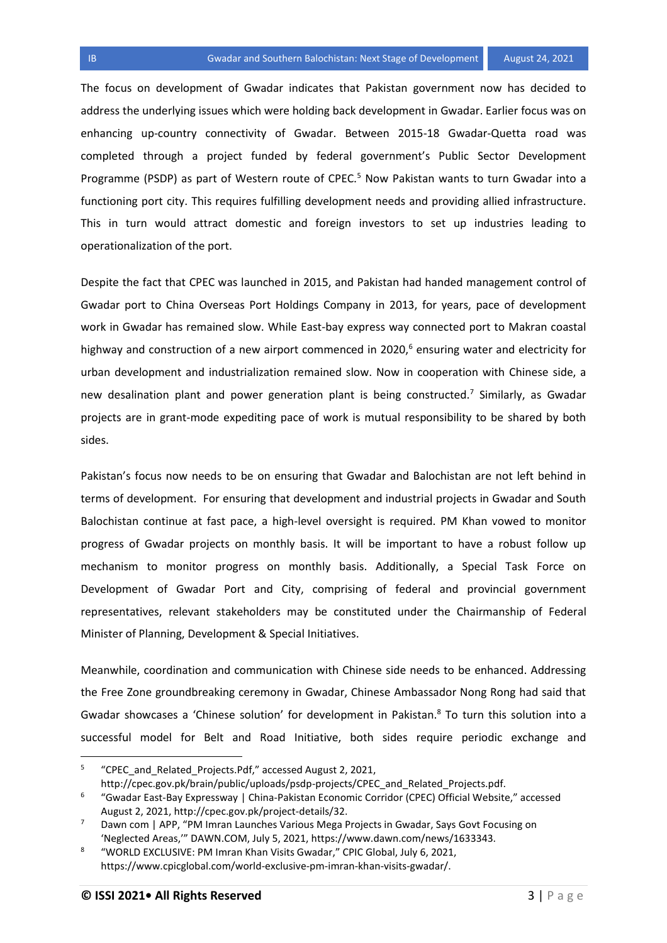The focus on development of Gwadar indicates that Pakistan government now has decided to address the underlying issues which were holding back development in Gwadar. Earlier focus was on enhancing up-country connectivity of Gwadar. Between 2015-18 Gwadar-Quetta road was completed through a project funded by federal government's Public Sector Development Programme (PSDP) as part of Western route of CPEC.<sup>5</sup> Now Pakistan wants to turn Gwadar into a functioning port city. This requires fulfilling development needs and providing allied infrastructure. This in turn would attract domestic and foreign investors to set up industries leading to operationalization of the port.

Despite the fact that CPEC was launched in 2015, and Pakistan had handed management control of Gwadar port to China Overseas Port Holdings Company in 2013, for years, pace of development work in Gwadar has remained slow. While East-bay express way connected port to Makran coastal highway and construction of a new airport commenced in  $2020<sup>6</sup>$  ensuring water and electricity for urban development and industrialization remained slow. Now in cooperation with Chinese side, a new desalination plant and power generation plant is being constructed.<sup>7</sup> Similarly, as Gwadar projects are in grant-mode expediting pace of work is mutual responsibility to be shared by both sides.

Pakistan's focus now needs to be on ensuring that Gwadar and Balochistan are not left behind in terms of development. For ensuring that development and industrial projects in Gwadar and South Balochistan continue at fast pace, a high-level oversight is required. PM Khan vowed to monitor progress of Gwadar projects on monthly basis. It will be important to have a robust follow up mechanism to monitor progress on monthly basis. Additionally, a Special Task Force on Development of Gwadar Port and City, comprising of federal and provincial government representatives, relevant stakeholders may be constituted under the Chairmanship of Federal Minister of Planning, Development & Special Initiatives.

Meanwhile, coordination and communication with Chinese side needs to be enhanced. Addressing the Free Zone groundbreaking ceremony in Gwadar, Chinese Ambassador Nong Rong had said that Gwadar showcases a 'Chinese solution' for development in Pakistan.<sup>8</sup> To turn this solution into a successful model for Belt and Road Initiative, both sides require periodic exchange and

 $\overline{a}$ 

<sup>5</sup> "CPEC\_and\_Related\_Projects.Pdf," accessed August 2, 2021,

http://cpec.gov.pk/brain/public/uploads/psdp-projects/CPEC\_and\_Related\_Projects.pdf.

<sup>6</sup> "Gwadar East-Bay Expressway | China-Pakistan Economic Corridor (CPEC) Official Website," accessed August 2, 2021, http://cpec.gov.pk/project-details/32.

Dawn com | APP, "PM Imran Launches Various Mega Projects in Gwadar, Says Govt Focusing on 'Neglected Areas,'" DAWN.COM, July 5, 2021, https://www.dawn.com/news/1633343.

<sup>8</sup> "WORLD EXCLUSIVE: PM Imran Khan Visits Gwadar," CPIC Global, July 6, 2021, https://www.cpicglobal.com/world-exclusive-pm-imran-khan-visits-gwadar/.